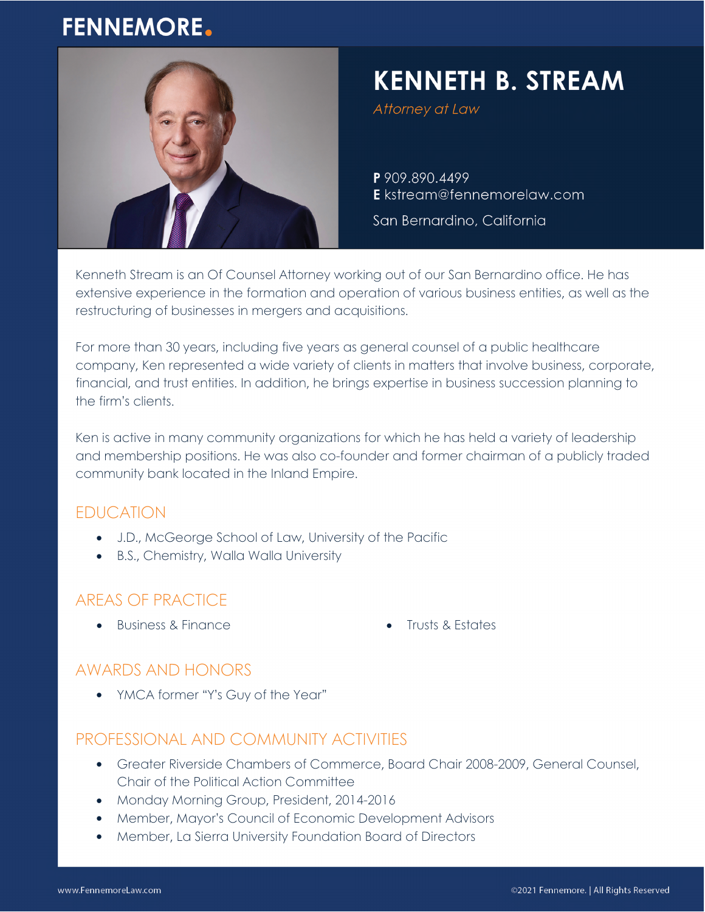# **FENNEMORE.**



# **KENNETH B. STREAM**

Attorney at Law

P 909.890.4499 E kstream@fennemorelaw.com

San Bernardino, California

Kenneth Stream is an Of Counsel Attorney working out of our San Bernardino office. He has extensive experience in the formation and operation of various business entities, as well as the restructuring of businesses in mergers and acquisitions.

For more than 30 years, including five years as general counsel of a public healthcare company, Ken represented a wide variety of clients in matters that involve business, corporate, financial, and trust entities. In addition, he brings expertise in business succession planning to the firm's clients.

Ken is active in many community organizations for which he has held a variety of leadership and membership positions. He was also co-founder and former chairman of a publicly traded community bank located in the Inland Empire.

## EDUCATION

- J.D., McGeorge School of Law, University of the Pacific
- B.S., Chemistry, Walla Walla University

## AREAS OF PRACTICE

- Business & Finance **Canadian Control of the Second Control** of Trusts & Estates
	-

#### AWARDS AND HONORS

• YMCA former "Y's Guy of the Year"

#### PROFESSIONAL AND COMMUNITY ACTIVITIES

- Greater Riverside Chambers of Commerce, Board Chair 2008-2009, General Counsel, Chair of the Political Action Committee
- Monday Morning Group, President, 2014-2016
- Member, Mayor's Council of Economic Development Advisors
- Member, La Sierra University Foundation Board of Directors